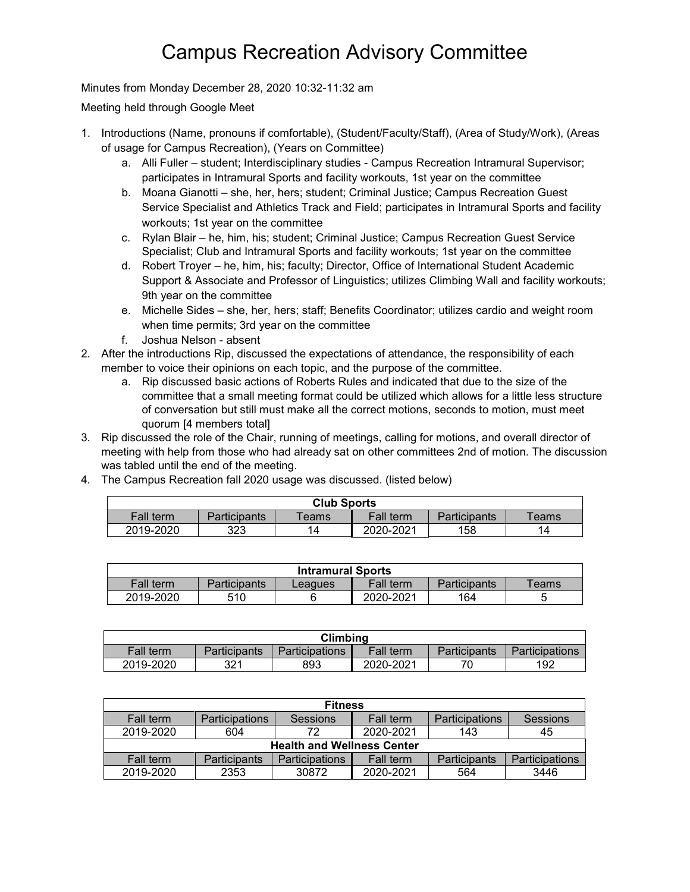## Campus Recreation Advisory Committee

Minutes from Monday December 28, 2020 10:32-11:32 am

Meeting held through Google Meet

- 1. Introductions (Name, pronouns if comfortable), (Student/Faculty/Staff), (Area of Study/Work), (Areas of usage for Campus Recreation), (Years on Committee)
	- a. Alli Fuller student; Interdisciplinary studies Campus Recreation Intramural Supervisor; participates in Intramural Sports and facility workouts, 1st year on the committee
	- b. Moana Gianotti she, her, hers; student; Criminal Justice; Campus Recreation Guest Service Specialist and Athletics Track and Field; participates in Intramural Sports and facility workouts; 1st year on the committee
	- c. Rylan Blair he, him, his; student; Criminal Justice; Campus Recreation Guest Service Specialist; Club and Intramural Sports and facility workouts; 1st year on the committee
	- d. Robert Troyer he, him, his; faculty; Director, Office of International Student Academic Support & Associate and Professor of Linguistics; utilizes Climbing Wall and facility workouts; 9th year on the committee
	- e. Michelle Sides she, her, hers; staff; Benefits Coordinator; utilizes cardio and weight room when time permits; 3rd year on the committee
	- f. Joshua Nelson absent
- 2. After the introductions Rip, discussed the expectations of attendance, the responsibility of each member to voice their opinions on each topic, and the purpose of the committee.
	- a. Rip discussed basic actions of Roberts Rules and indicated that due to the size of the committee that a small meeting format could be utilized which allows for a little less structure of conversation but still must make all the correct motions, seconds to motion, must meet quorum [4 members total]
- 3. Rip discussed the role of the Chair, running of meetings, calling for motions, and overall director of meeting with help from those who had already sat on other committees 2nd of motion. The discussion was tabled until the end of the meeting.
- 4. The Campus Recreation fall 2020 usage was discussed. (listed below)

| <b>Club Sports</b> |              |      |           |                     |      |  |
|--------------------|--------------|------|-----------|---------------------|------|--|
| <b>Fall term</b>   | Participants | eams | Fall term | <b>Participants</b> | eams |  |
| 2019-2020          | 323          | 14   | 2020-2021 | 158                 | 14   |  |

| <b>Intramural Sports</b> |                     |         |                  |                     |      |  |
|--------------------------|---------------------|---------|------------------|---------------------|------|--|
| <b>Fall term</b>         | <b>Participants</b> | Leagues | <b>Fall term</b> | <b>Participants</b> | eams |  |
| 2019-2020                | 510                 |         | 2020-2021        | 164                 |      |  |

| <b>Climbing</b> |              |                       |                  |              |                       |  |
|-----------------|--------------|-----------------------|------------------|--------------|-----------------------|--|
| Fall term       | Participants | <b>Participations</b> | <b>Fall term</b> | Participants | <b>Participations</b> |  |
| 2019-2020       | 321          | 893                   | 2020-2021        | 70           | 192                   |  |

| <b>Fitness</b>                    |                       |                |           |                       |                       |  |
|-----------------------------------|-----------------------|----------------|-----------|-----------------------|-----------------------|--|
| Fall term                         | <b>Participations</b> | Sessions       | Fall term | <b>Participations</b> | Sessions              |  |
| 2019-2020                         | 604                   | 72             | 2020-2021 | 143                   | 45                    |  |
| <b>Health and Wellness Center</b> |                       |                |           |                       |                       |  |
| Fall term                         | <b>Participants</b>   | Participations | Fall term | <b>Participants</b>   | <b>Participations</b> |  |
| 2019-2020                         | 2353                  | 30872          | 2020-2021 | 564                   | 3446                  |  |